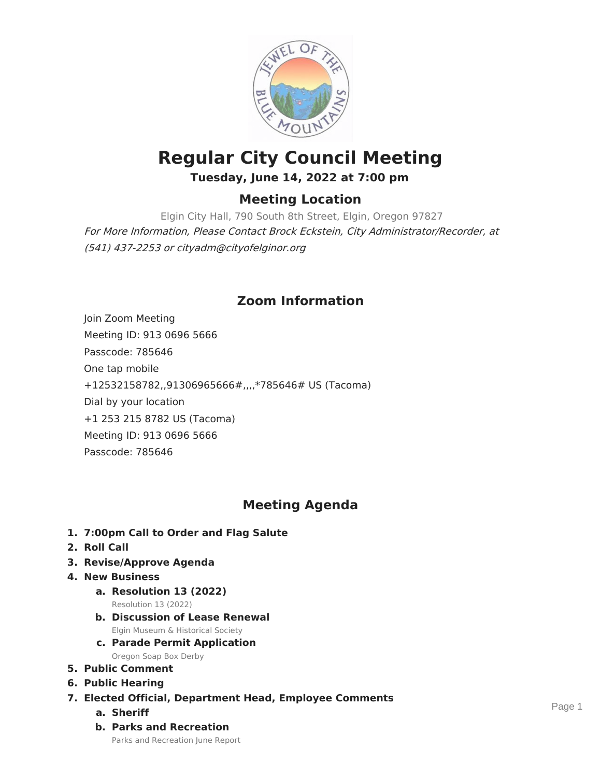

# **Regular City Council Meeting Tuesday, June 14, 2022 at 7:00 pm**

### **Meeting Location**

Elgin City Hall, 790 South 8th Street, Elgin, Oregon 97827 For More Information, Please Contact Brock Eckstein, City Administrator/Recorder, at (541) 437-2253 or cityadm@cityofelginor.org

## **Zoom Information**

Join Zoom Meeting Meeting ID: 913 0696 5666 Passcode: 785646 One tap mobile +12532158782,,91306965666#,,,,\*785646# US (Tacoma) Dial by your location +1 253 215 8782 US (Tacoma) Meeting ID: 913 0696 5666 Passcode: 785646

### **Meeting Agenda**

- **1. 7:00pm Call to Order and Flag Salute**
- **2. Roll Call**
- **3. Revise/Approve Agenda**
- **4. New Business**
	- **a. Resolution 13 (2022)** Resolution 13 (2022)
	- **b. Discussion of Lease Renewal** Elgin Museum & Historical Society
	- **c. Parade Permit Application** Oregon Soap Box Derby
- **5. Public Comment**
- **6. Public Hearing**
- **7. Elected Official, Department Head, Employee Comments**
	- **a. Sheriff**
	- **b. Parks and Recreation**

Parks and Recreation June Report